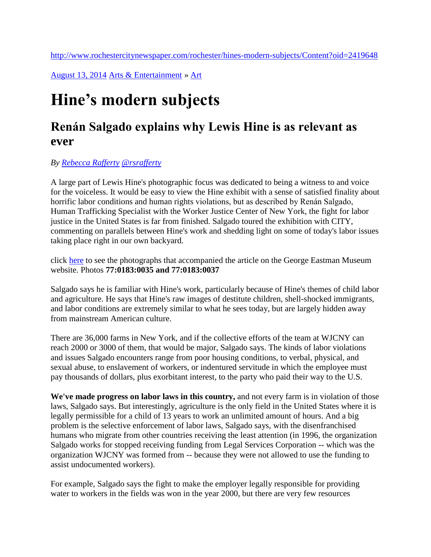<http://www.rochestercitynewspaper.com/rochester/hines-modern-subjects/Content?oid=2419648>

[August 13, 2014](http://www.rochestercitynewspaper.com/rochester/IssueArchives?issue=2419126) [Arts & Entertainment](http://www.rochestercitynewspaper.com/rochester/arts-and-entertainment/Section?oid=2124540) » [Art](http://www.rochestercitynewspaper.com/rochester/ArticleArchives?category=2124551)

## **Hine's modern subjects**

## **Renán Salgado explains why Lewis Hine is as relevant as ever**

## *By [Rebecca Rafferty](http://www.rochestercitynewspaper.com/rochester/ArticleArchives?author=2124585) [@rsrafferty](https://twitter.com/rsrafferty)*

A large part of Lewis Hine's photographic focus was dedicated to being a witness to and voice for the voiceless. It would be easy to view the Hine exhibit with a sense of satisfied finality about horrific labor conditions and human rights violations, but as described by Renán Salgado, Human Trafficking Specialist with the Worker Justice Center of New York, the fight for labor justice in the United States is far from finished. Salgado toured the exhibition with CITY, commenting on parallels between Hine's work and shedding light on some of today's labor issues taking place right in our own backyard.

click [here](http://geh.org/ar/letchild/letchil_sum00002.html) to see the photographs that accompanied the article on the George Eastman Museum website. Photos **77:0183:0035 and 77:0183:0037**

Salgado says he is familiar with Hine's work, particularly because of Hine's themes of child labor and agriculture. He says that Hine's raw images of destitute children, shell-shocked immigrants, and labor conditions are extremely similar to what he sees today, but are largely hidden away from mainstream American culture.

There are 36,000 farms in New York, and if the collective efforts of the team at WJCNY can reach 2000 or 3000 of them, that would be major, Salgado says. The kinds of labor violations and issues Salgado encounters range from poor housing conditions, to verbal, physical, and sexual abuse, to enslavement of workers, or indentured servitude in which the employee must pay thousands of dollars, plus exorbitant interest, to the party who paid their way to the U.S.

**We've made progress on labor laws in this country,** and not every farm is in violation of those laws, Salgado says. But interestingly, agriculture is the only field in the United States where it is legally permissible for a child of 13 years to work an unlimited amount of hours. And a big problem is the selective enforcement of labor laws, Salgado says, with the disenfranchised humans who migrate from other countries receiving the least attention (in 1996, the organization Salgado works for stopped receiving funding from Legal Services Corporation -- which was the organization WJCNY was formed from -- because they were not allowed to use the funding to assist undocumented workers).

For example, Salgado says the fight to make the employer legally responsible for providing water to workers in the fields was won in the year 2000, but there are very few resources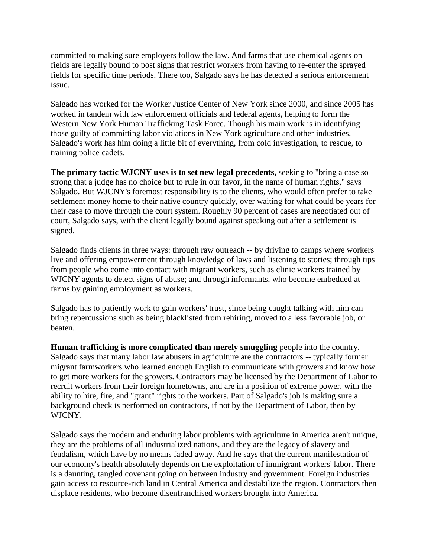committed to making sure employers follow the law. And farms that use chemical agents on fields are legally bound to post signs that restrict workers from having to re-enter the sprayed fields for specific time periods. There too, Salgado says he has detected a serious enforcement issue.

Salgado has worked for the Worker Justice Center of New York since 2000, and since 2005 has worked in tandem with law enforcement officials and federal agents, helping to form the Western New York Human Trafficking Task Force. Though his main work is in identifying those guilty of committing labor violations in New York agriculture and other industries, Salgado's work has him doing a little bit of everything, from cold investigation, to rescue, to training police cadets.

**The primary tactic WJCNY uses is to set new legal precedents,** seeking to "bring a case so strong that a judge has no choice but to rule in our favor, in the name of human rights," says Salgado. But WJCNY's foremost responsibility is to the clients, who would often prefer to take settlement money home to their native country quickly, over waiting for what could be years for their case to move through the court system. Roughly 90 percent of cases are negotiated out of court, Salgado says, with the client legally bound against speaking out after a settlement is signed.

Salgado finds clients in three ways: through raw outreach -- by driving to camps where workers live and offering empowerment through knowledge of laws and listening to stories; through tips from people who come into contact with migrant workers, such as clinic workers trained by WJCNY agents to detect signs of abuse; and through informants, who become embedded at farms by gaining employment as workers.

Salgado has to patiently work to gain workers' trust, since being caught talking with him can bring repercussions such as being blacklisted from rehiring, moved to a less favorable job, or beaten.

**Human trafficking is more complicated than merely smuggling** people into the country. Salgado says that many labor law abusers in agriculture are the contractors -- typically former migrant farmworkers who learned enough English to communicate with growers and know how to get more workers for the growers. Contractors may be licensed by the Department of Labor to recruit workers from their foreign hometowns, and are in a position of extreme power, with the ability to hire, fire, and "grant" rights to the workers. Part of Salgado's job is making sure a background check is performed on contractors, if not by the Department of Labor, then by WJCNY.

Salgado says the modern and enduring labor problems with agriculture in America aren't unique, they are the problems of all industrialized nations, and they are the legacy of slavery and feudalism, which have by no means faded away. And he says that the current manifestation of our economy's health absolutely depends on the exploitation of immigrant workers' labor. There is a daunting, tangled covenant going on between industry and government. Foreign industries gain access to resource-rich land in Central America and destabilize the region. Contractors then displace residents, who become disenfranchised workers brought into America.